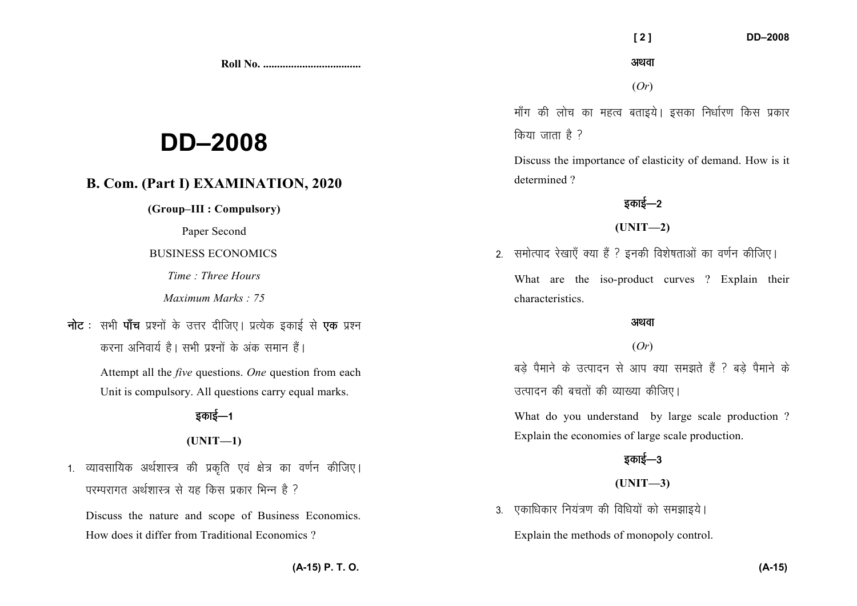**Roll No. ...................................** 

# **DD–2008**

## **B. Com. (Part I) EXAMINATION, 2020**

**(Group–III : Compulsory)** 

Paper Second

BUSINESS ECONOMICS

*Time : Three Hours* 

*Maximum Marks : 75*

नोट : सभी पाँच प्रश्नों के उत्तर दीजिए। प्रत्येक इकाई से **एक** प्रश्न करना अनिवार्य है। सभी प्रश्नों के अंक समान हैं।

> Attempt all the *five* questions. *One* question from each Unit is compulsory. All questions carry equal marks.

> > डकाई—1

#### **(UNIT—1)**

1. व्यावसायिक अर्थशास्त्र की प्रकति एवं क्षेत्र का वर्णन कीजिए। परम्परागत अर्थशास्त्र से यह किस प्रकार भिन्न है ?

Discuss the nature and scope of Business Economics.How does it differ from Traditional Economics ?

### अथवा

(*Or*)

माँग की लोच का महत्व बताइये। इसका निर्धारण किस प्रकार किया जाता है ?

Discuss the importance of elasticity of demand. How is it determined ?

## डकाई—2

## **(UNIT—2)**

2. समोत्पाद रेखाएँ क्या हैं ? इनकी विशेषताओं का वर्णन कीजिए।

What are the iso-product curves ? Explain their characteristics.

#### अथवा

(*Or*)

बड़े पैमाने के उत्पादन से आप क्या समझते हैं ? बड़े पैमाने के उत्पादन की बचतों की व्याख्या कीजिए।

What do you understand by large scale production ? Explain the economies of large scale production.

## डकाई—3

**(UNIT—3)** 

3. एकाधिकार नियंत्रण की विधियों को समझाइये।

Explain the methods of monopoly control.